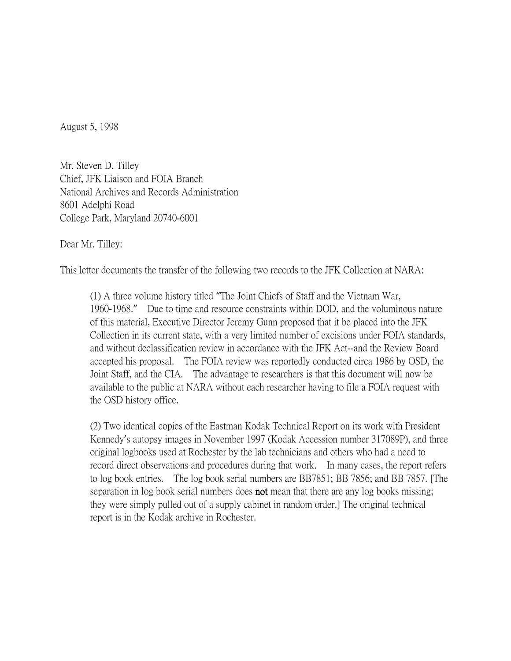August 5, 1998

Mr. Steven D. Tilley Chief, JFK Liaison and FOIA Branch National Archives and Records Administration 8601 Adelphi Road College Park, Maryland 20740-6001

Dear Mr. Tilley:

This letter documents the transfer of the following two records to the JFK Collection at NARA:

(1) A three volume history titled "The Joint Chiefs of Staff and the Vietnam War, 1960-1968." Due to time and resource constraints within DOD, and the voluminous nature of this material, Executive Director Jeremy Gunn proposed that it be placed into the JFK Collection in its current state, with a very limited number of excisions under FOIA standards, and without declassification review in accordance with the JFK Act--and the Review Board accepted his proposal. The FOIA review was reportedly conducted circa 1986 by OSD, the Joint Staff, and the CIA. The advantage to researchers is that this document will now be available to the public at NARA without each researcher having to file a FOIA request with the OSD history office.

(2) Two identical copies of the Eastman Kodak Technical Report on its work with President Kennedy's autopsy images in November 1997 (Kodak Accession number 317089P), and three original logbooks used at Rochester by the lab technicians and others who had a need to record direct observations and procedures during that work. In many cases, the report refers to log book entries. The log book serial numbers are BB7851; BB 7856; and BB 7857. [The separation in log book serial numbers does **not** mean that there are any log books missing; they were simply pulled out of a supply cabinet in random order.] The original technical report is in the Kodak archive in Rochester.